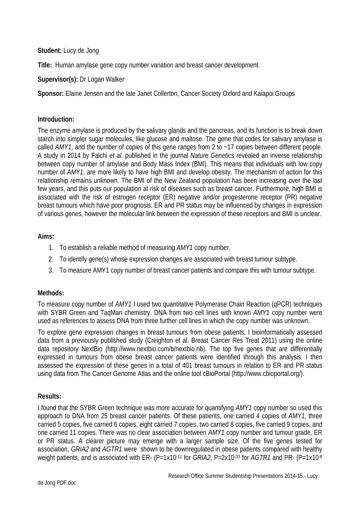### **Student:** Lucy de Jong

**Title:** Human amylase gene copy number variation and breast cancer development.

## **Supervisor(s):** Dr Logan Walker

**Sponsor:** Elaine Jensen and the late Janet Collerton, Cancer Society Oxford and Kaiapoi Groups

#### **Introduction:**

The enzyme amylase is produced by the salivary glands and the pancreas, and its function is to break down starch into simpler sugar molecules, like glucose and maltose. The gene that codes for salivary amylase is called *AMY1*, and the number of copies of this gene ranges from 2 to ~17 copies between different people. A study in 2014 by Falchi *et al.* published in the journal *Nature Genetics* revealed an inverse relationship between copy number of amylase and Body Mass Index (BMI). This means that individuals with low copy number of *AMY1*, are more likely to have high BMI and develop obesity. The mechanism of action for this relationship remains unknown. The BMI of the New Zealand population has been increasing over the last few years, and this puts our population at risk of diseases such as breast cancer. Furthermore, high BMI is associated with the risk of estrogen receptor (ER) negative and/or progesterone receptor (PR) negative breast tumours which have poor prognosis. ER and PR status may be influenced by changes in expression of various genes, however the molecular link between the expression of these receptors and BMI is unclear.

#### **Aims:**

- 1. To establish a reliable method of measuring *AMY1* copy number.
- 2. To identify gene(s) whose expression changes are associated with breast tumour subtype.
- 3. To measure AMY1 copy number of breast cancer patients and compare this with tumour subtype.

# **Methods:**

To measure copy number of *AMY1* I used two quantitative Polymerase Chain Reaction (qPCR) techniques with SYBR Green and TaqMan chemistry. DNA from two cell lines with known *AMY1* copy number were used as references to assess DNA from three further cell lines in which the copy number was unknown.

To explore gene expression changes in breast tumours from obese patients, I bioinformatically assessed data from a previously published study (Creighton et al. Breast Cancer Res Treat 2011) using the online data repository NextBio (http://www.nextbio.com/b/nextbio.nb). The top five genes that are differentially expressed in tumours from obese breast cancer patients were identified through this analysis. I then assessed the expression of these genes in a total of 401 breast tumours in relation to ER and PR status using data from The Cancer Genome Atlas and the online tool cBioPortal (http://www.cbioportal.org/).

#### **Results:**

I found that the SYBR Green technique was more accurate for quantifying *AMY1* copy number so used this approach to DNA from 25 breast cancer patients. Of these patients, one carried 4 copies of *AMY1*, three carried 5 copies, five carried 6 copies, eight carried 7 copies, two carried 8 copies, five carried 9 copies, and one carried 11 copies. There was no clear association between *AMY1* copy number and tumour grade, ER or PR status. A clearer picture may emerge with a larger sample size. Of the five genes tested for association, *GRIA2* and *AGTR1* were shown to be downregulated in obese patients compared with healthy weight patients, and is associated with ER- (P=1x10<sup>-11</sup> for *GRIA2*, P=2x10<sup>-33</sup> for *AGTR1* and PR- (P=1x10<sup>-8</sup>